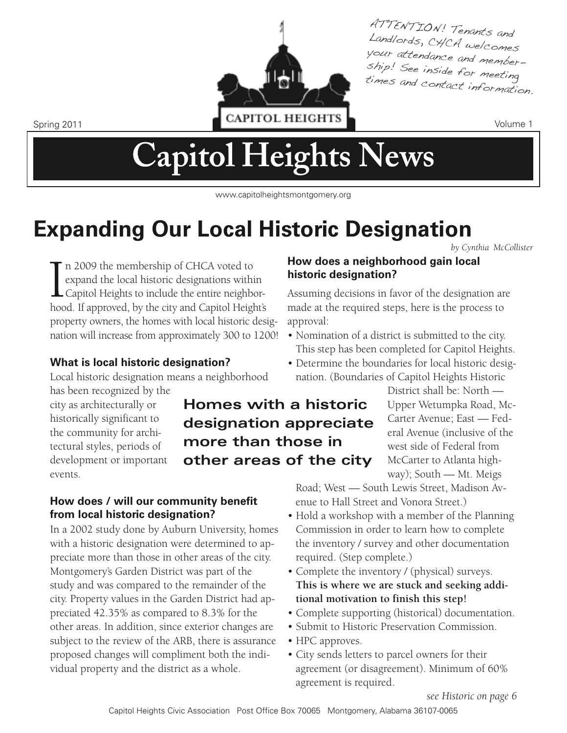

ATTENTION! Tenants and Landlords, CHCA welcomes s hip! See inside for meeting your attendance and membertimes and contact information.

# **Capitol Heights News**

www.capitolheightsmontgomery.org

**Homes with a historic**

**designation appreciate**

**other areas of the city**

**more than those in**

## **Expanding Our Local Historic Designation**

*by Cynthia McCollister*

I<sub>hoc</sub> n 2009 the membership of CHCA voted to expand the local historic designations within Capitol Heights to include the entire neighborhood. If approved, by the city and Capitol Height's property owners, the homes with local historic designation will increase from approximately 300 to 1200!

## **What is local historic designation?**

Local historic designation means a neighborhood

has been recognized by the city as architecturally or historically significant to the community for architectural styles, periods of development or important events.

#### **How does / will our community benefit from local historic designation?**

In a 2002 study done by Auburn University, homes with a historic designation were determined to appreciate more than those in other areas of the city. Montgomery's Garden District was part of the study and was compared to the remainder of the city. Property values in the Garden District had appreciated 42.35% as compared to 8.3% for the other areas. In addition, since exterior changes are subject to the review of the ARB, there is assurance proposed changes will compliment both the individual property and the district as a whole.

## **How does a neighborhood gain local historic designation?**

Assuming decisions in favor of the designation are made at the required steps, here is the process to approval:

- Nomination of a district is submitted to the city. This step has been completed for Capitol Heights.
- Determine the boundaries for local historic designation. (Boundaries of Capitol Heights Historic

District shall be: North — Upper Wetumpka Road, Mc-Carter Avenue; East — Federal Avenue (inclusive of the west side of Federal from McCarter to Atlanta highway); South — Mt. Meigs

Road; West — South Lewis Street, Madison Avenue to Hall Street and Vonora Street.)

- Hold a workshop with a member of the Planning Commission in order to learn how to complete the inventory / survey and other documentation required. (Step complete.)
- Complete the inventory / (physical) surveys. **This is where we are stuck and seeking additional motivation to finish this step!**
- Complete supporting (historical) documentation.
- Submit to Historic Preservation Commission.
- HPC approves.
- City sends letters to parcel owners for their agreement (or disagreement). Minimum of 60% agreement is required.

*see Historic on page 6*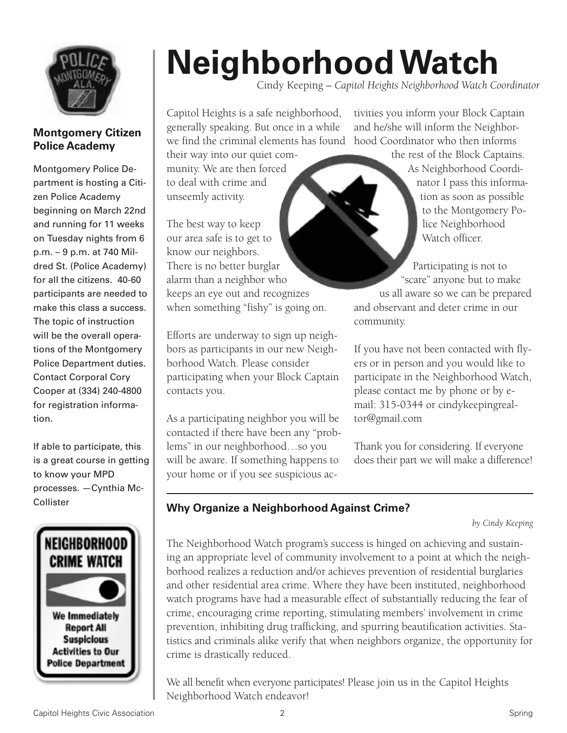

#### **Montgomery Citizen Police Academy**

Montgomery Police Department is hosting a Citizen Police Academy beginning on March 22nd and running for 11 weeks on Tuesday nights from 6 p.m. – 9 p.m. at 740 Mildred St. (Police Academy) for all the citizens. 40-60 participants are needed to make this class a success. The topic of instruction will be the overall operations of the Montgomery Police Department duties. Contact Corporal Cory Cooper at (334) 240-4800 for registration information.

If able to participate, this is a great course in getting to know your MPD processes. —Cynthia Mc-Collister



# **NeighborhoodWatch**

Cindy Keeping – *Capitol Heights Neighborhood Watch Coordinator*

Capitol Heights is a safe neighborhood, generally speaking. But once in a while

their way into our quiet community. We are then forced to deal with crime and unseemly activity.

The best way to keep our area safe is to get to know our neighbors. There is no better burglar alarm than a neighbor who keeps an eye out and recognizes when something "fishy" is going on.

Efforts are underway to sign up neighbors as participants in our new Neighborhood Watch. Please consider participating when your Block Captain contacts you.

As a participating neighbor you will be contacted if there have been any "problems" in our neighborhood…so you will be aware. If something happens to your home or if you see suspicious ac-

we find the criminal elements has found hood Coordinator who then informs tivities you inform your Block Captain and he/she will inform the Neighbor-

> the rest of the Block Captains. As Neighborhood Coordinator I pass this information as soon as possible to the Montgomery Police Neighborhood Watch officer.

Participating is not to "scare" anyone but to make us all aware so we can be prepared and observant and deter crime in our community.

If you have not been contacted with flyers or in person and you would like to participate in the Neighborhood Watch, please contact me by phone or by email: 315-0344 or cindykeepingrealtor@gmail.com

Thank you for considering. If everyone does their part we will make a difference!

## **Why Organize a Neighborhood Against Crime?**

*by Cindy Keeping*

The Neighborhood Watch program's success is hinged on achieving and sustaining an appropriate level of community involvement to a point at which the neighborhood realizes a reduction and/or achieves prevention of residential burglaries and other residential area crime. Where they have been instituted, neighborhood watch programs have had a measurable effect of substantially reducing the fear of crime, encouraging crime reporting, stimulating members' involvement in crime prevention, inhibiting drug trafficking, and spurring beautification activities. Statistics and criminals alike verify that when neighbors organize, the opportunity for crime is drastically reduced.

We all benefit when everyone participates! Please join us in the Capitol Heights Neighborhood Watch endeavor!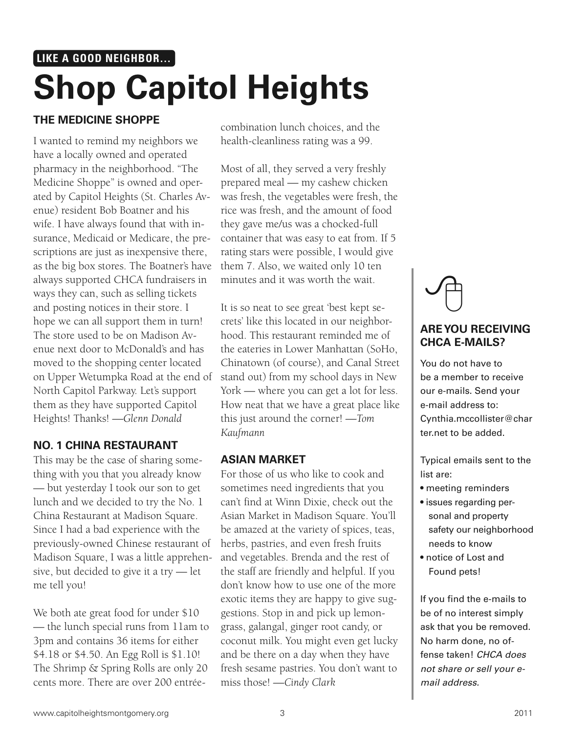## **Shop Capitol Heights LIKE A GOOD NEIGHBOR…**

## **THE MEDICINE SHOPPE**

I wanted to remind my neighbors we have a locally owned and operated pharmacy in the neighborhood. "The Medicine Shoppe" is owned and operated by Capitol Heights (St. Charles Avenue) resident Bob Boatner and his wife. I have always found that with insurance, Medicaid or Medicare, the prescriptions are just as inexpensive there, as the big box stores. The Boatner's have always supported CHCA fundraisers in ways they can, such as selling tickets and posting notices in their store. I hope we can all support them in turn! The store used to be on Madison Avenue next door to McDonald's and has moved to the shopping center located on Upper Wetumpka Road at the end of North Capitol Parkway. Let's support them as they have supported Capitol Heights! Thanks! *—Glenn Donald*

#### **NO. 1 CHINA RESTAURANT**

This may be the case of sharing something with you that you already know — but yesterday I took our son to get lunch and we decided to try the No. 1 China Restaurant at Madison Square. Since I had a bad experience with the previously-owned Chinese restaurant of Madison Square, I was a little apprehensive, but decided to give it a try — let me tell you!

We both ate great food for under \$10 — the lunch special runs from 11am to 3pm and contains 36 items for either \$4.18 or \$4.50. An Egg Roll is \$1.10! The Shrimp & Spring Rolls are only 20 cents more. There are over 200 entréecombination lunch choices, and the health-cleanliness rating was a 99.

Most of all, they served a very freshly prepared meal — my cashew chicken was fresh, the vegetables were fresh, the rice was fresh, and the amount of food they gave me/us was a chocked-full container that was easy to eat from. If 5 rating stars were possible, I would give them 7. Also, we waited only 10 ten minutes and it was worth the wait.

It is so neat to see great 'best kept secrets' like this located in our neighborhood. This restaurant reminded me of the eateries in Lower Manhattan (SoHo, Chinatown (of course), and Canal Street stand out) from my school days in New York — where you can get a lot for less. How neat that we have a great place like this just around the corner! *—Tom Kaufmann*

#### **ASIAN MARKET**

For those of us who like to cook and sometimes need ingredients that you can't find at Winn Dixie, check out the Asian Market in Madison Square. You'll be amazed at the variety of spices, teas, herbs, pastries, and even fresh fruits and vegetables. Brenda and the rest of the staff are friendly and helpful. If you don't know how to use one of the more exotic items they are happy to give suggestions. Stop in and pick up lemongrass, galangal, ginger root candy, or coconut milk. You might even get lucky and be there on a day when they have fresh sesame pastries. You don't want to miss those! *—Cindy Clark*

## **AREYOU RECEIVING CHCA E-MAILS?**  $\sqrt{\frac{1}{2}}$

You do not have to be a member to receive our e-mails. Send your e-mail address to: Cynthia.mccollister@char ter.net to be added.

Typical emails sent to the list are:

- meeting reminders
- issues regarding personal and property safety our neighborhood needs to know
- notice of Lost and Found pets!

If you find the e-mails to be of no interest simply ask that you be removed. No harm done, no offense taken! *CHCA does not share or sell your email address.*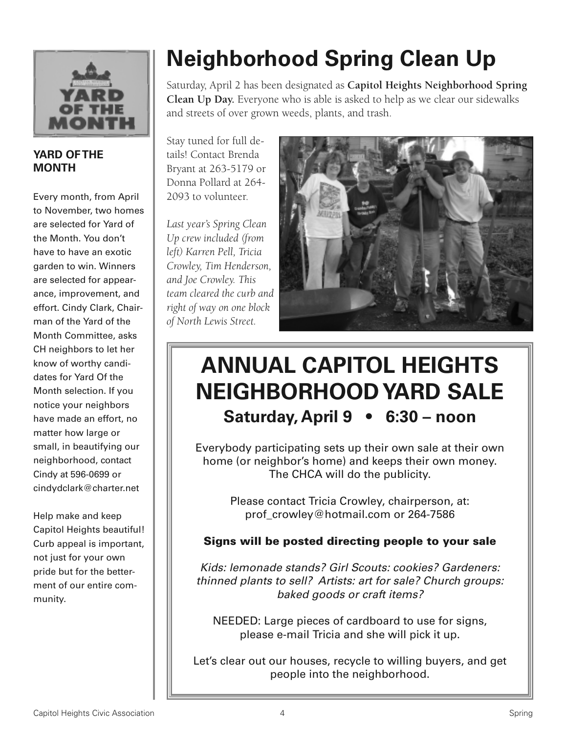

#### **YARD OFTHE MONTH**

Every month, from April to November, two homes are selected for Yard of the Month. You don't have to have an exotic garden to win. Winners are selected for appearance, improvement, and effort. Cindy Clark, Chairman of the Yard of the Month Committee, asks CH neighbors to let her know of worthy candidates for Yard Of the Month selection. If you notice your neighbors have made an effort, no matter how large or small, in beautifying our neighborhood, contact Cindy at 596-0699 or cindydclark@charter.net

Help make and keep Capitol Heights beautiful! Curb appeal is important, not just for your own pride but for the betterment of our entire community.

## **Neighborhood Spring Clean Up**

Saturday, April 2 has been designated as **Capitol Heights Neighborhood Spring Clean Up Day.** Everyone who is able is asked to help as we clear our sidewalks and streets of over grown weeds, plants, and trash.

Stay tuned for full details! Contact Brenda Bryant at 263-5179 or Donna Pollard at 264- 2093 to volunteer.

*Last year's Spring Clean Up crew included (from left) Karren Pell, Tricia Crowley, Tim Henderson, and Joe Crowley. This team cleared the curb and right of way on one block of North Lewis Street.*



## **ANNUAL CAPITOL HEIGHTS NEIGHBORHOODYARD SALE Saturday, April 9 • 6:30 – noon**

Everybody participating sets up their own sale at their own home (or neighbor's home) and keeps their own money. The CHCA will do the publicity.

> Please contact Tricia Crowley, chairperson, at: prof\_crowley@hotmail.com or 264-7586

## **Signs will be posted directing people to your sale**

*Kids: lemonade stands? Girl Scouts: cookies? Gardeners: thinned plants to sell? Artists: art for sale? Church groups: baked goods or craft items?*

NEEDED: Large pieces of cardboard to use for signs, please e-mail Tricia and she will pick it up.

Let's clear out our houses, recycle to willing buyers, and get people into the neighborhood.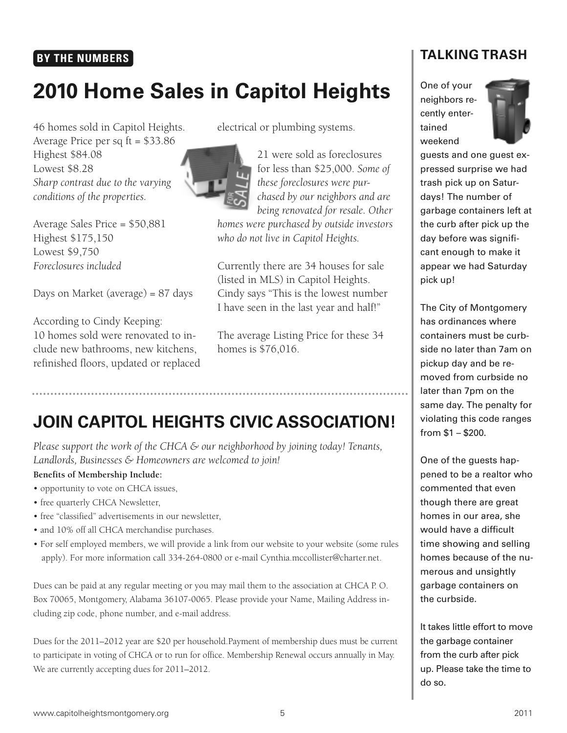## **BY THE NUMBERS**

## **2010 Home Sales in Capitol Heights**

46 homes sold in Capitol Heights. Average Price per sq ft = \$33.86 Highest \$84.08 Lowest \$8.28 *Sharp contrast due to the varying conditions of the properties.*

Average Sales Price = \$50,881 Highest \$175,150 Lowest \$9,750 *Foreclosures included*

Days on Market (average) = 87 days

According to Cindy Keeping: 10 homes sold were renovated to include new bathrooms, new kitchens, refinished floors, updated or replaced electrical or plumbing systems.



21 were sold as foreclosures for less than \$25,000. *Some of these foreclosures were purchased by our neighbors and are being renovated for resale. Other*

*homes were purchased by outside investors who do not live in Capitol Heights.*

Currently there are 34 houses for sale (listed in MLS) in Capitol Heights. Cindy says "This is the lowest number I have seen in the last year and half!"

The average Listing Price for these 34 homes is \$76,016.

## **JOIN CAPITOL HEIGHTS CIVIC ASSOCIATION!**

*Please support the work of the CHCA & our neighborhood by joining today! Tenants, Landlords, Businesses & Homeowners are welcomed to join!*

#### **Benefits of Membership Include:**

- opportunity to vote on CHCA issues,
- free quarterly CHCA Newsletter,
- free "classified" advertisements in our newsletter,
- and 10% off all CHCA merchandise purchases.
- For self employed members, we will provide a link from our website to your website (some rules apply). For more information call 334-264-0800 or e-mail Cynthia.mccollister@charter.net.

Dues can be paid at any regular meeting or you may mail them to the association at CHCA P. O. Box 70065, Montgomery, Alabama 36107-0065. Please provide your Name, Mailing Address including zip code, phone number, and e-mail address.

Dues for the 2011–2012 year are \$20 per household.Payment of membership dues must be current to participate in voting of CHCA or to run for office. Membership Renewal occurs annually in May. We are currently accepting dues for 2011–2012.

## **TALKING TRASH**

One of your neighbors recently entertained weekend



guests and one guest expressed surprise we had trash pick up on Saturdays! The number of garbage containers left at the curb after pick up the day before was significant enough to make it appear we had Saturday pick up!

The City of Montgomery has ordinances where containers must be curbside no later than 7am on pickup day and be removed from curbside no later than 7pm on the same day. The penalty for violating this code ranges from \$1 – \$200.

One of the guests happened to be a realtor who commented that even though there are great homes in our area, she would have a difficult time showing and selling homes because of the numerous and unsightly garbage containers on the curbside.

It takes little effort to move the garbage container from the curb after pick up. Please take the time to do so.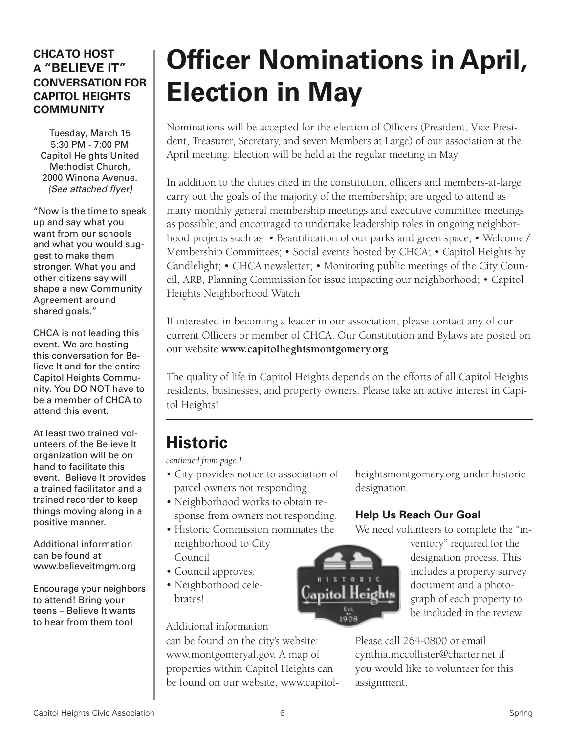## **CHCATO HOST A "BELIEVE IT" CONVERSATION FOR CAPITOL HEIGHTS COMMUNITY**

Tuesday, March 15 5:30 PM - 7:00 PM Capitol Heights United Methodist Church, 2000 Winona Avenue. *(See attached flyer)*

"Now is the time to speak up and say what you want from our schools and what you would suggest to make them stronger. What you and other citizens say will shape a new Community Agreement around shared goals."

CHCA is not leading this event. We are hosting this conversation for Believe It and for the entire Capitol Heights Community. You DO NOT have to be a member of CHCA to attend this event.

At least two trained volunteers of the Believe It organization will be on hand to facilitate this event. Believe It provides a trained facilitator and a trained recorder to keep things moving along in a positive manner.

Additional information can be found at www.believeitmgm.org

Encourage your neighbors to attend! Bring your teens – Believe It wants to hear from them too!

## **Officer Nominations in April, Election in May**

Nominations will be accepted for the election of Officers (President, Vice President, Treasurer, Secretary, and seven Members at Large) of our association at the April meeting. Election will be held at the regular meeting in May.

In addition to the duties cited in the constitution, officers and members-at-large carry out the goals of the majority of the membership; are urged to attend as many monthly general membership meetings and executive committee meetings as possible; and encouraged to undertake leadership roles in ongoing neighborhood projects such as: • Beautification of our parks and green space; • Welcome / Membership Committees; • Social events hosted by CHCA; • Capitol Heights by Candlelight; • CHCA newsletter; • Monitoring public meetings of the City Council, ARB, Planning Commission for issue impacting our neighborhood; • Capitol Heights Neighborhood Watch

If interested in becoming a leader in our association, please contact any of our current Officers or member of CHCA. Our Constitution and Bylaws are posted on our website **www.capitolheghtsmontgomery.org**

The quality of life in Capitol Heights depends on the efforts of all Capitol Heights residents, businesses, and property owners. Please take an active interest in Capitol Heights!

## **Historic**

*continued from page 1*

- City provides notice to association of parcel owners not responding.
- Neighborhood works to obtain response from owners not responding.
- Historic Commission nominates the neighborhood to City Council
- Council approves.
- Neighborhood cele**brates!**

Additional information

can be found on the city's website: www.montgomeryal.gov. A map of properties within Capitol Heights can be found on our website, www.capitolheightsmontgomery.org under historic designation.

## **Help Us Reach Our Goal**

We need volunteers to complete the "in-

ventory" required for the designation process. This includes a property survey document and a photograph of each property to be included in the review.

Please call 264-0800 or email cynthia.mccollister@charter.net if you would like to volunteer for this assignment.

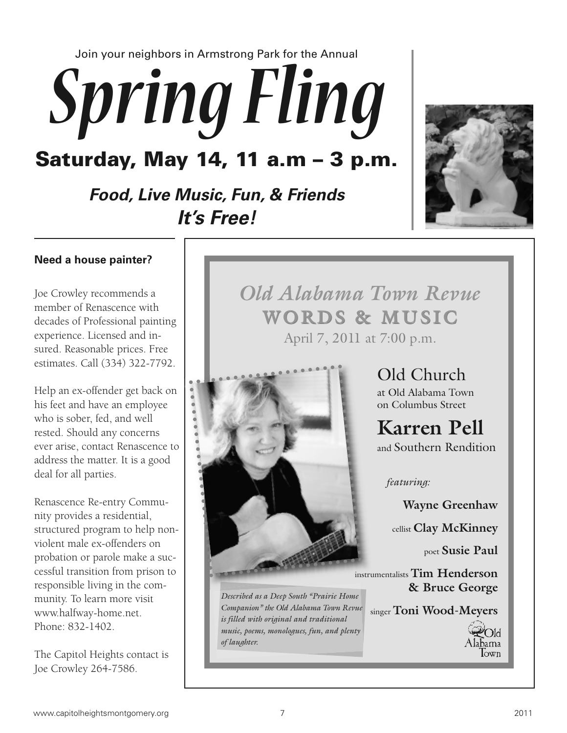Join your neighbors in Armstrong Park for the Annual

# *SpringFling*

**Saturday, May 14, 11 a.m – 3 p.m.**

## *Food, Live Music, Fun, & Friends It's Free!*



#### **Need a house painter?**

Joe Crowley recommends a member of Renascence with decades of Professional painting experience. Licensed and insured. Reasonable prices. Free estimates. Call (334) 322-7792.

Help an ex-offender get back on his feet and have an employee who is sober, fed, and well rested. Should any concerns ever arise, contact Renascence to address the matter. It is a good deal for all parties.

Renascence Re-entry Community provides a residential, structured program to help nonviolent male ex-offenders on probation or parole make a successful transition from prison to responsible living in the community. To learn more visit www.halfway-home.net. Phone: 832-1402.

The Capitol Heights contact is Joe Crowley 264-7586.

**WORDS & MUSIC WORDS & MUSIC** April 7, 2011 at 7:00 p.m. *Old Alabama Town Revue*



*Described as a Deep South "Prairie Home Companion" the Old Alabama Town Revue is filled with original and traditional music, poems, monologues, fun, and plenty of laughter.*

Old Church at Old Alabama Town on Columbus Street

**Karren Pell** and Southern Rendition

*featuring:*

**Wayne Greenhaw**

cellist **Clay McKinney**

poet **Susie Paul**

instrumentalists **Tim Henderson & Bruce George**

singer **Toni Wood-Meyers**